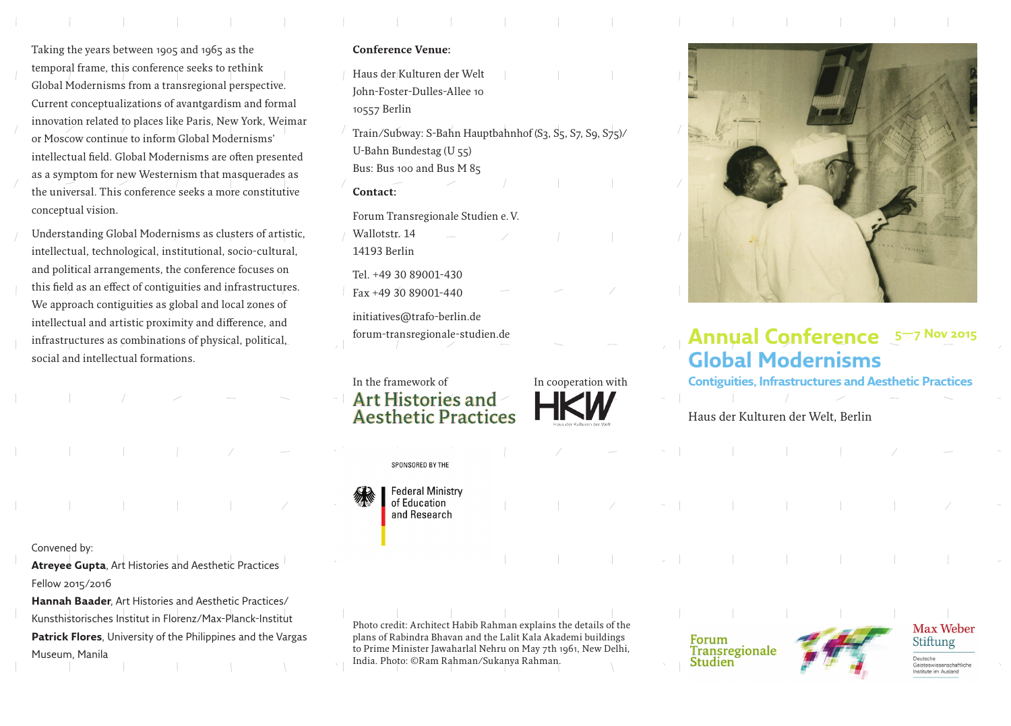Taking the years between 1905 and 1965 as the temporal frame, this conference seeks to rethink Global Modernisms from a transregional perspective. Current conceptualizations of avantgardism and formal innovation related to places like Paris, New York, Weimar or Moscow continue to inform Global Modernisms' intellectual field. Global Modernisms are often presented as a symptom for new Westernism that masquerades as the universal. This conference seeks a more constitutive conceptual vision.

Understanding Global Modernisms as clusters of artistic, intellectual, technological, institutional, socio-cultural, and political arrangements, the conference focuses on this field as an effect of contiguities and infrastructures. We approach contiguities as global and local zones of intellectual and artistic proximity and difference, and infrastructures as combinations of physical, political, social and intellectual formations.

Convened by:

Atreyee Gupta, Art Histories and Aesthetic Practices Fellow 2015/2016

**Hannah Baader**, Art Histories and Aesthetic Practices/ Kunsthistorisches Institut in Florenz/Max-Planck-Institut **Patrick Flores**, University of the Philippines and the Vargas Museum, Manila

### **Conference Venue:**

Haus der Kulturen der Welt John-Foster-Dulles-Allee 10 10557 Berlin

Train/Subway: S-Bahn Hauptbahnhof (S3, S5, S7, S9, S75) U-Bahn Bundestag (U 55) Bus: Bus 100 and Bus M 85

#### **Contact:**

Forum Transregionale Studien e.V.

Wallotstr. 14 14193 Berlin

Tel. +49 30 89001-430

 $Fax +49 30 89001 -440$ 

initiatives@trafo-berlin.de forum-transregionale-studien.de



SPONSORED BY THE

**Federal Ministry** of Education and Research





# **Annual Conference Global Modernisms 5—7 Nov 2015**

**Contiguities, Infrastructures and Aesthetic Practices**

Haus der Kulturen der Welt, Berlin

Photo credit: Architect Habib Rahman explains the details of the plans of Rabindra Bhavan and the Lalit Kala Akademi buildings to Prime Minister Jawaharlal Nehru on May 7th 1961, New Delhi, India. Photo: ©Ram Rahman/Sukanya Rahman.

Forum **Transregionale Studien** 



# Max Weber Stiftung

Deutsche Geisteswissenschaftliche Institute im Ausland